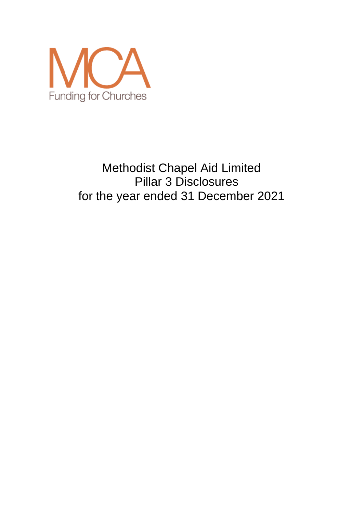

# Methodist Chapel Aid Limited Pillar 3 Disclosures for the year ended 31 December 2021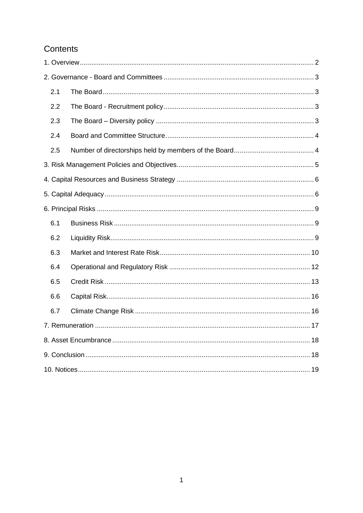# Contents

| 2.1 |  |
|-----|--|
| 2.2 |  |
| 2.3 |  |
| 2.4 |  |
| 2.5 |  |
|     |  |
|     |  |
|     |  |
|     |  |
| 6.1 |  |
| 6.2 |  |
| 6.3 |  |
| 6.4 |  |
| 6.5 |  |
| 6.6 |  |
| 6.7 |  |
|     |  |
|     |  |
|     |  |
|     |  |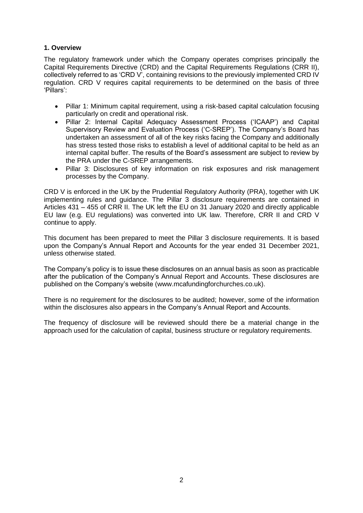# <span id="page-2-0"></span>**1. Overview**

The regulatory framework under which the Company operates comprises principally the Capital Requirements Directive (CRD) and the Capital Requirements Regulations (CRR II), collectively referred to as 'CRD V', containing revisions to the previously implemented CRD IV regulation. CRD V requires capital requirements to be determined on the basis of three 'Pillars':

- Pillar 1: Minimum capital requirement, using a risk-based capital calculation focusing particularly on credit and operational risk.
- Pillar 2: Internal Capital Adequacy Assessment Process ('ICAAP') and Capital Supervisory Review and Evaluation Process ('C-SREP'). The Company's Board has undertaken an assessment of all of the key risks facing the Company and additionally has stress tested those risks to establish a level of additional capital to be held as an internal capital buffer. The results of the Board's assessment are subject to review by the PRA under the C-SREP arrangements.
- Pillar 3: Disclosures of key information on risk exposures and risk management processes by the Company.

CRD V is enforced in the UK by the Prudential Regulatory Authority (PRA), together with UK implementing rules and guidance. The Pillar 3 disclosure requirements are contained in Articles 431 – 455 of CRR II. The UK left the EU on 31 January 2020 and directly applicable EU law (e.g. EU regulations) was converted into UK law. Therefore, CRR II and CRD V continue to apply.

This document has been prepared to meet the Pillar 3 disclosure requirements. It is based upon the Company's Annual Report and Accounts for the year ended 31 December 2021, unless otherwise stated.

The Company's policy is to issue these disclosures on an annual basis as soon as practicable after the publication of the Company's Annual Report and Accounts. These disclosures are published on the Company's website [\(www.mcafundingforchurches.co.uk\)](http://www.mcafundingforchurches.co.uk/).

There is no requirement for the disclosures to be audited; however, some of the information within the disclosures also appears in the Company's Annual Report and Accounts.

The frequency of disclosure will be reviewed should there be a material change in the approach used for the calculation of capital, business structure or regulatory requirements.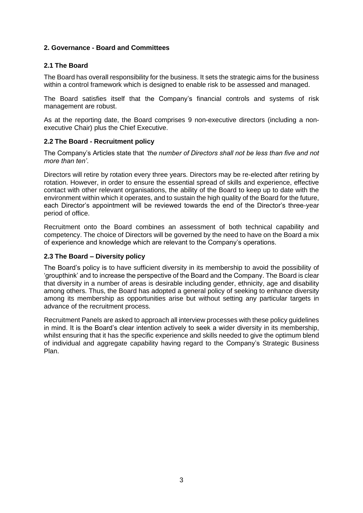# <span id="page-3-0"></span>**2. Governance - Board and Committees**

# <span id="page-3-1"></span>**2.1 The Board**

The Board has overall responsibility for the business. It sets the strategic aims for the business within a control framework which is designed to enable risk to be assessed and managed.

The Board satisfies itself that the Company's financial controls and systems of risk management are robust.

As at the reporting date, the Board comprises 9 non-executive directors (including a nonexecutive Chair) plus the Chief Executive.

# <span id="page-3-2"></span>**2.2 The Board - Recruitment policy**

The Company's Articles state that *'the number of Directors shall not be less than five and not more than ten'*.

Directors will retire by rotation every three years. Directors may be re-elected after retiring by rotation. However, in order to ensure the essential spread of skills and experience, effective contact with other relevant organisations, the ability of the Board to keep up to date with the environment within which it operates, and to sustain the high quality of the Board for the future, each Director's appointment will be reviewed towards the end of the Director's three-year period of office.

Recruitment onto the Board combines an assessment of both technical capability and competency. The choice of Directors will be governed by the need to have on the Board a mix of experience and knowledge which are relevant to the Company's operations.

# <span id="page-3-3"></span>**2.3 The Board – Diversity policy**

The Board's policy is to have sufficient diversity in its membership to avoid the possibility of 'groupthink' and to increase the perspective of the Board and the Company. The Board is clear that diversity in a number of areas is desirable including gender, ethnicity, age and disability among others. Thus, the Board has adopted a general policy of seeking to enhance diversity among its membership as opportunities arise but without setting any particular targets in advance of the recruitment process.

Recruitment Panels are asked to approach all interview processes with these policy guidelines in mind. It is the Board's clear intention actively to seek a wider diversity in its membership, whilst ensuring that it has the specific experience and skills needed to give the optimum blend of individual and aggregate capability having regard to the Company's Strategic Business Plan.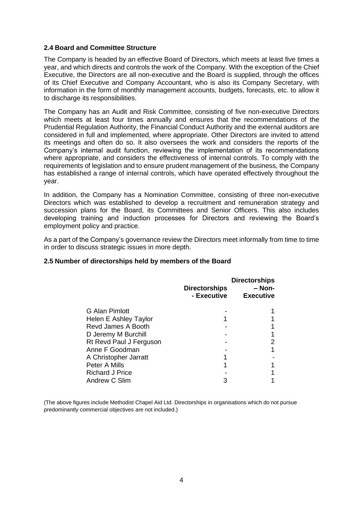# <span id="page-4-0"></span>**2.4 Board and Committee Structure**

The Company is headed by an effective Board of Directors, which meets at least five times a year, and which directs and controls the work of the Company. With the exception of the Chief Executive, the Directors are all non-executive and the Board is supplied, through the offices of its Chief Executive and Company Accountant, who is also its Company Secretary, with information in the form of monthly management accounts, budgets, forecasts, etc. to allow it to discharge its responsibilities.

The Company has an Audit and Risk Committee, consisting of five non-executive Directors which meets at least four times annually and ensures that the recommendations of the Prudential Regulation Authority, the Financial Conduct Authority and the external auditors are considered in full and implemented, where appropriate. Other Directors are invited to attend its meetings and often do so. It also oversees the work and considers the reports of the Company's internal audit function, reviewing the implementation of its recommendations where appropriate, and considers the effectiveness of internal controls. To comply with the requirements of legislation and to ensure prudent management of the business, the Company has established a range of internal controls, which have operated effectively throughout the year.

In addition, the Company has a Nomination Committee, consisting of three non-executive Directors which was established to develop a recruitment and remuneration strategy and succession plans for the Board, its Committees and Senior Officers. This also includes developing training and induction processes for Directors and reviewing the Board's employment policy and practice.

As a part of the Company's governance review the Directors meet informally from time to time in order to discuss strategic issues in more depth.

# <span id="page-4-1"></span>**2.5 Number of directorships held by members of the Board**

|                         | <b>Directorships</b><br>- Executive | <b>Directorships</b><br>- Non-<br><b>Executive</b> |
|-------------------------|-------------------------------------|----------------------------------------------------|
| G Alan Pimlott          |                                     |                                                    |
| Helen E Ashley Taylor   |                                     |                                                    |
| Revd James A Booth      |                                     |                                                    |
| D Jeremy M Burchill     |                                     |                                                    |
| Rt Revd Paul J Ferguson |                                     |                                                    |
| Anne F Goodman          |                                     |                                                    |
| A Christopher Jarratt   |                                     |                                                    |
| Peter A Mills           |                                     |                                                    |
| <b>Richard J Price</b>  |                                     |                                                    |
| Andrew C Slim           |                                     |                                                    |

(The above figures include Methodist Chapel Aid Ltd. Directorships in organisations which do not pursue predominantly commercial objectives are not included.)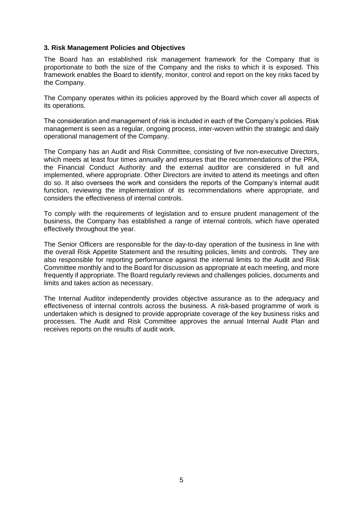#### <span id="page-5-0"></span>**3. Risk Management Policies and Objectives**

The Board has an established risk management framework for the Company that is proportionate to both the size of the Company and the risks to which it is exposed. This framework enables the Board to identify, monitor, control and report on the key risks faced by the Company.

The Company operates within its policies approved by the Board which cover all aspects of its operations.

The consideration and management of risk is included in each of the Company's policies. Risk management is seen as a regular, ongoing process, inter-woven within the strategic and daily operational management of the Company.

The Company has an Audit and Risk Committee, consisting of five non-executive Directors, which meets at least four times annually and ensures that the recommendations of the PRA, the Financial Conduct Authority and the external auditor are considered in full and implemented, where appropriate. Other Directors are invited to attend its meetings and often do so. It also oversees the work and considers the reports of the Company's internal audit function, reviewing the implementation of its recommendations where appropriate, and considers the effectiveness of internal controls.

To comply with the requirements of legislation and to ensure prudent management of the business, the Company has established a range of internal controls, which have operated effectively throughout the year.

The Senior Officers are responsible for the day-to-day operation of the business in line with the overall Risk Appetite Statement and the resulting policies, limits and controls. They are also responsible for reporting performance against the internal limits to the Audit and Risk Committee monthly and to the Board for discussion as appropriate at each meeting, and more frequently if appropriate. The Board regularly reviews and challenges policies, documents and limits and takes action as necessary.

The Internal Auditor independently provides objective assurance as to the adequacy and effectiveness of internal controls across the business. A risk-based programme of work is undertaken which is designed to provide appropriate coverage of the key business risks and processes. The Audit and Risk Committee approves the annual Internal Audit Plan and receives reports on the results of audit work.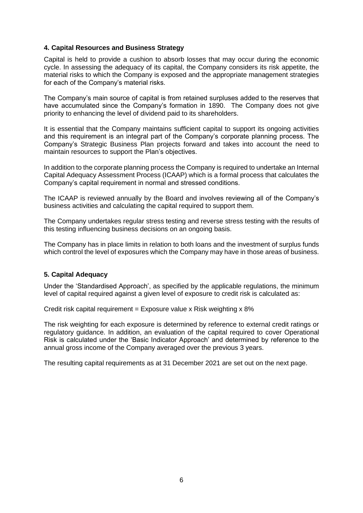# <span id="page-6-0"></span>**4. Capital Resources and Business Strategy**

Capital is held to provide a cushion to absorb losses that may occur during the economic cycle. In assessing the adequacy of its capital, the Company considers its risk appetite, the material risks to which the Company is exposed and the appropriate management strategies for each of the Company's material risks.

The Company's main source of capital is from retained surpluses added to the reserves that have accumulated since the Company's formation in 1890. The Company does not give priority to enhancing the level of dividend paid to its shareholders.

It is essential that the Company maintains sufficient capital to support its ongoing activities and this requirement is an integral part of the Company's corporate planning process. The Company's Strategic Business Plan projects forward and takes into account the need to maintain resources to support the Plan's objectives.

In addition to the corporate planning process the Company is required to undertake an Internal Capital Adequacy Assessment Process (ICAAP) which is a formal process that calculates the Company's capital requirement in normal and stressed conditions.

The ICAAP is reviewed annually by the Board and involves reviewing all of the Company's business activities and calculating the capital required to support them.

The Company undertakes regular stress testing and reverse stress testing with the results of this testing influencing business decisions on an ongoing basis.

<span id="page-6-1"></span>The Company has in place limits in relation to both loans and the investment of surplus funds which control the level of exposures which the Company may have in those areas of business.

# **5. Capital Adequacy**

Under the 'Standardised Approach', as specified by the applicable regulations, the minimum level of capital required against a given level of exposure to credit risk is calculated as:

Credit risk capital requirement = Exposure value x Risk weighting  $x 8%$ 

The risk weighting for each exposure is determined by reference to external credit ratings or regulatory guidance. In addition, an evaluation of the capital required to cover Operational Risk is calculated under the 'Basic Indicator Approach' and determined by reference to the annual gross income of the Company averaged over the previous 3 years.

The resulting capital requirements as at 31 December 2021 are set out on the next page.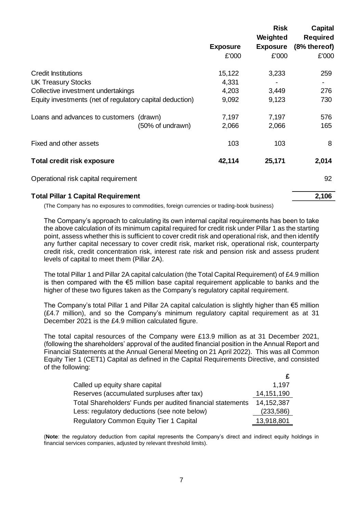|                                                          |                 | <b>Risk</b><br>Weighted | <b>Capital</b><br><b>Required</b> |
|----------------------------------------------------------|-----------------|-------------------------|-----------------------------------|
|                                                          | <b>Exposure</b> | <b>Exposure</b>         | (8% thereof)                      |
|                                                          | £'000           | £'000                   | £'000                             |
| <b>Credit Institutions</b>                               | 15,122          | 3,233                   | 259                               |
| <b>UK Treasury Stocks</b>                                | 4,331           |                         |                                   |
| Collective investment undertakings                       | 4,203           | 3,449                   | 276                               |
| Equity investments (net of regulatory capital deduction) | 9,092           | 9,123                   | 730                               |
| Loans and advances to customers<br>(drawn)               | 7,197           | 7,197                   | 576                               |
| (50% of undrawn)                                         | 2,066           | 2,066                   | 165                               |
| Fixed and other assets                                   | 103             | 103                     | 8                                 |
| <b>Total credit risk exposure</b>                        | 42,114          | 25,171                  | 2,014                             |
| Operational risk capital requirement                     |                 |                         | 92                                |
| <b>Total Pillar 1 Capital Requirement</b>                |                 |                         | 2,106                             |

(The Company has no exposures to commodities, foreign currencies or trading-book business)

The Company's approach to calculating its own internal capital requirements has been to take the above calculation of its minimum capital required for credit risk under Pillar 1 as the starting point, assess whether this is sufficient to cover credit risk and operational risk, and then identify any further capital necessary to cover credit risk, market risk, operational risk, counterparty credit risk, credit concentration risk, interest rate risk and pension risk and assess prudent levels of capital to meet them (Pillar 2A).

The total Pillar 1 and Pillar 2A capital calculation (the Total Capital Requirement) of £4.9 million is then compared with the €5 million base capital requirement applicable to banks and the higher of these two figures taken as the Company's regulatory capital requirement.

The Company's total Pillar 1 and Pillar 2A capital calculation is slightly higher than €5 million (£4.7 million), and so the Company's minimum regulatory capital requirement as at 31 December 2021 is the £4.9 million calculated figure.

The total capital resources of the Company were £13.9 million as at 31 December 2021, (following the shareholders' approval of the audited financial position in the Annual Report and Financial Statements at the Annual General Meeting on 21 April 2022). This was all Common Equity Tier 1 (CET1) Capital as defined in the Capital Requirements Directive, and consisted of the following:

| Called up equity share capital                             | 1.197      |
|------------------------------------------------------------|------------|
| Reserves (accumulated surpluses after tax)                 | 14,151,190 |
| Total Shareholders' Funds per audited financial statements | 14,152,387 |
| Less: regulatory deductions (see note below)               | (233,586)  |
| <b>Regulatory Common Equity Tier 1 Capital</b>             | 13,918,801 |

(**Note**: the regulatory deduction from capital represents the Company's direct and indirect equity holdings in financial services companies, adjusted by relevant threshold limits).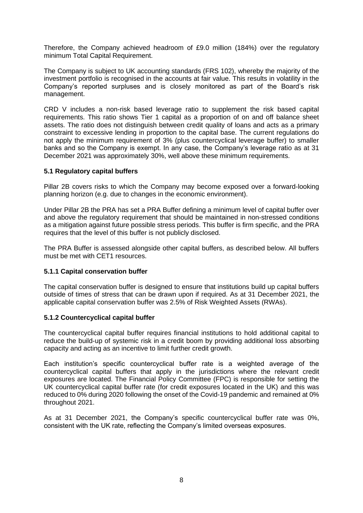Therefore, the Company achieved headroom of £9.0 million (184%) over the regulatory minimum Total Capital Requirement.

The Company is subject to UK accounting standards (FRS 102), whereby the majority of the investment portfolio is recognised in the accounts at fair value. This results in volatility in the Company's reported surpluses and is closely monitored as part of the Board's risk management.

CRD V includes a non-risk based leverage ratio to supplement the risk based capital requirements. This ratio shows Tier 1 capital as a proportion of on and off balance sheet assets. The ratio does not distinguish between credit quality of loans and acts as a primary constraint to excessive lending in proportion to the capital base. The current regulations do not apply the minimum requirement of 3% (plus countercyclical leverage buffer) to smaller banks and so the Company is exempt. In any case, the Company's leverage ratio as at 31 December 2021 was approximately 30%, well above these minimum requirements.

#### **5.1 Regulatory capital buffers**

Pillar 2B covers risks to which the Company may become exposed over a forward-looking planning horizon (e.g. due to changes in the economic environment).

Under Pillar 2B the PRA has set a PRA Buffer defining a minimum level of capital buffer over and above the regulatory requirement that should be maintained in non-stressed conditions as a mitigation against future possible stress periods. This buffer is firm specific, and the PRA requires that the level of this buffer is not publicly disclosed.

The PRA Buffer is assessed alongside other capital buffers, as described below. All buffers must be met with CET1 resources.

# **5.1.1 Capital conservation buffer**

The capital conservation buffer is designed to ensure that institutions build up capital buffers outside of times of stress that can be drawn upon if required. As at 31 December 2021, the applicable capital conservation buffer was 2.5% of Risk Weighted Assets (RWAs).

#### **5.1.2 Countercyclical capital buffer**

The countercyclical capital buffer requires financial institutions to hold additional capital to reduce the build-up of systemic risk in a credit boom by providing additional loss absorbing capacity and acting as an incentive to limit further credit growth.

Each institution's specific countercyclical buffer rate is a weighted average of the countercyclical capital buffers that apply in the jurisdictions where the relevant credit exposures are located. The Financial Policy Committee (FPC) is responsible for setting the UK countercyclical capital buffer rate (for credit exposures located in the UK) and this was reduced to 0% during 2020 following the onset of the Covid-19 pandemic and remained at 0% throughout 2021.

As at 31 December 2021, the Company's specific countercyclical buffer rate was 0%, consistent with the UK rate, reflecting the Company's limited overseas exposures.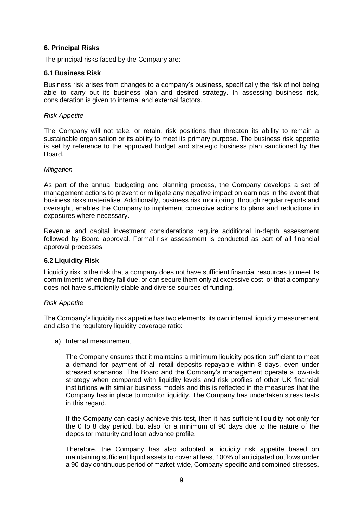# <span id="page-9-0"></span>**6. Principal Risks**

The principal risks faced by the Company are:

#### <span id="page-9-1"></span>**6.1 Business Risk**

Business risk arises from changes to a company's business, specifically the risk of not being able to carry out its business plan and desired strategy. In assessing business risk, consideration is given to internal and external factors.

#### *Risk Appetite*

The Company will not take, or retain, risk positions that threaten its ability to remain a sustainable organisation or its ability to meet its primary purpose. The business risk appetite is set by reference to the approved budget and strategic business plan sanctioned by the Board.

#### *Mitigation*

As part of the annual budgeting and planning process, the Company develops a set of management actions to prevent or mitigate any negative impact on earnings in the event that business risks materialise. Additionally, business risk monitoring, through regular reports and oversight, enables the Company to implement corrective actions to plans and reductions in exposures where necessary.

Revenue and capital investment considerations require additional in-depth assessment followed by Board approval. Formal risk assessment is conducted as part of all financial approval processes.

# <span id="page-9-2"></span>**6.2 Liquidity Risk**

Liquidity risk is the risk that a company does not have sufficient financial resources to meet its commitments when they fall due, or can secure them only at excessive cost, or that a company does not have sufficiently stable and diverse sources of funding.

#### *Risk Appetite*

The Company's liquidity risk appetite has two elements: its own internal liquidity measurement and also the regulatory liquidity coverage ratio:

a) Internal measurement

The Company ensures that it maintains a minimum liquidity position sufficient to meet a demand for payment of all retail deposits repayable within 8 days, even under stressed scenarios. The Board and the Company's management operate a low-risk strategy when compared with liquidity levels and risk profiles of other UK financial institutions with similar business models and this is reflected in the measures that the Company has in place to monitor liquidity. The Company has undertaken stress tests in this regard.

If the Company can easily achieve this test, then it has sufficient liquidity not only for the 0 to 8 day period, but also for a minimum of 90 days due to the nature of the depositor maturity and loan advance profile.

Therefore, the Company has also adopted a liquidity risk appetite based on maintaining sufficient liquid assets to cover at least 100% of anticipated outflows under a 90-day continuous period of market-wide, Company-specific and combined stresses.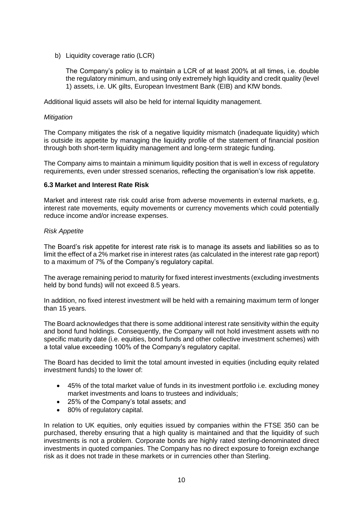b) Liquidity coverage ratio (LCR)

The Company's policy is to maintain a LCR of at least 200% at all times, i.e. double the regulatory minimum, and using only extremely high liquidity and credit quality (level 1) assets, i.e. UK gilts, European Investment Bank (EIB) and KfW bonds.

Additional liquid assets will also be held for internal liquidity management.

#### *Mitigation*

The Company mitigates the risk of a negative liquidity mismatch (inadequate liquidity) which is outside its appetite by managing the liquidity profile of the statement of financial position through both short-term liquidity management and long-term strategic funding.

The Company aims to maintain a minimum liquidity position that is well in excess of regulatory requirements, even under stressed scenarios, reflecting the organisation's low risk appetite.

#### <span id="page-10-0"></span>**6.3 Market and Interest Rate Risk**

Market and interest rate risk could arise from adverse movements in external markets, e.g. interest rate movements, equity movements or currency movements which could potentially reduce income and/or increase expenses.

#### *Risk Appetite*

The Board's risk appetite for interest rate risk is to manage its assets and liabilities so as to limit the effect of a 2% market rise in interest rates (as calculated in the interest rate gap report) to a maximum of 7% of the Company's regulatory capital.

The average remaining period to maturity for fixed interest investments (excluding investments held by bond funds) will not exceed 8.5 years.

In addition, no fixed interest investment will be held with a remaining maximum term of longer than 15 years.

The Board acknowledges that there is some additional interest rate sensitivity within the equity and bond fund holdings. Consequently, the Company will not hold investment assets with no specific maturity date (i.e. equities, bond funds and other collective investment schemes) with a total value exceeding 100% of the Company's regulatory capital.

The Board has decided to limit the total amount invested in equities (including equity related investment funds) to the lower of:

- 45% of the total market value of funds in its investment portfolio i.e. excluding money market investments and loans to trustees and individuals;
- 25% of the Company's total assets; and
- 80% of regulatory capital.

In relation to UK equities, only equities issued by companies within the FTSE 350 can be purchased, thereby ensuring that a high quality is maintained and that the liquidity of such investments is not a problem. Corporate bonds are highly rated sterling-denominated direct investments in quoted companies. The Company has no direct exposure to foreign exchange risk as it does not trade in these markets or in currencies other than Sterling.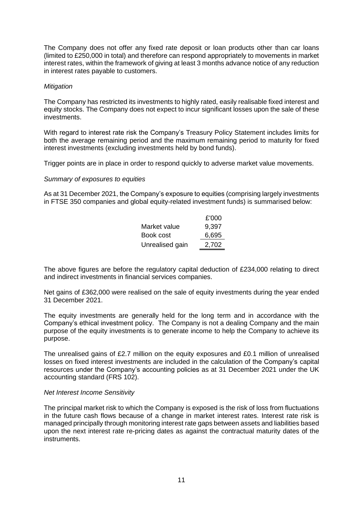The Company does not offer any fixed rate deposit or loan products other than car loans (limited to £250,000 in total) and therefore can respond appropriately to movements in market interest rates, within the framework of giving at least 3 months advance notice of any reduction in interest rates payable to customers.

#### *Mitigation*

The Company has restricted its investments to highly rated, easily realisable fixed interest and equity stocks. The Company does not expect to incur significant losses upon the sale of these investments.

With regard to interest rate risk the Company's Treasury Policy Statement includes limits for both the average remaining period and the maximum remaining period to maturity for fixed interest investments (excluding investments held by bond funds).

Trigger points are in place in order to respond quickly to adverse market value movements.

#### *Summary of exposures to equities*

As at 31 December 2021, the Company's exposure to equities (comprising largely investments in FTSE 350 companies and global equity-related investment funds) is summarised below:

|                 | £'000 |
|-----------------|-------|
| Market value    | 9,397 |
| Book cost       | 6,695 |
| Unrealised gain | 2,702 |

The above figures are before the regulatory capital deduction of £234,000 relating to direct and indirect investments in financial services companies.

Net gains of £362,000 were realised on the sale of equity investments during the year ended 31 December 2021.

The equity investments are generally held for the long term and in accordance with the Company's ethical investment policy. The Company is not a dealing Company and the main purpose of the equity investments is to generate income to help the Company to achieve its purpose.

The unrealised gains of £2.7 million on the equity exposures and £0.1 million of unrealised losses on fixed interest investments are included in the calculation of the Company's capital resources under the Company's accounting policies as at 31 December 2021 under the UK accounting standard (FRS 102).

#### *Net Interest Income Sensitivity*

The principal market risk to which the Company is exposed is the risk of loss from fluctuations in the future cash flows because of a change in market interest rates. Interest rate risk is managed principally through monitoring interest rate gaps between assets and liabilities based upon the next interest rate re-pricing dates as against the contractual maturity dates of the instruments.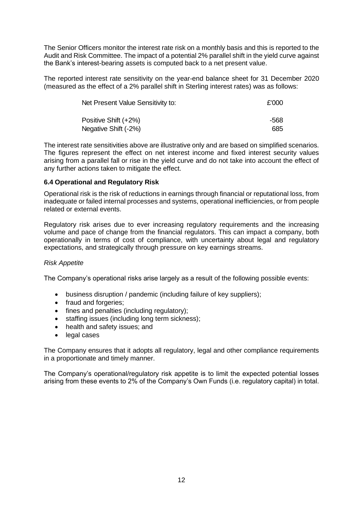The Senior Officers monitor the interest rate risk on a monthly basis and this is reported to the Audit and Risk Committee. The impact of a potential 2% parallel shift in the yield curve against the Bank's interest-bearing assets is computed back to a net present value.

The reported interest rate sensitivity on the year-end balance sheet for 31 December 2020 (measured as the effect of a 2% parallel shift in Sterling interest rates) was as follows:

| Net Present Value Sensitivity to: | £'000 |
|-----------------------------------|-------|
| Positive Shift (+2%)              | -568  |
| Negative Shift (-2%)              | 685   |

The interest rate sensitivities above are illustrative only and are based on simplified scenarios. The figures represent the effect on net interest income and fixed interest security values arising from a parallel fall or rise in the yield curve and do not take into account the effect of any further actions taken to mitigate the effect.

# <span id="page-12-0"></span>**6.4 Operational and Regulatory Risk**

Operational risk is the risk of reductions in earnings through financial or reputational loss, from inadequate or failed internal processes and systems, operational inefficiencies, or from people related or external events.

Regulatory risk arises due to ever increasing regulatory requirements and the increasing volume and pace of change from the financial regulators. This can impact a company, both operationally in terms of cost of compliance, with uncertainty about legal and regulatory expectations, and strategically through pressure on key earnings streams.

# *Risk Appetite*

The Company's operational risks arise largely as a result of the following possible events:

- business disruption / pandemic (including failure of key suppliers);
- fraud and forgeries;
- fines and penalties (including regulatory);
- staffing issues (including long term sickness);
- health and safety issues; and
- legal cases

The Company ensures that it adopts all regulatory, legal and other compliance requirements in a proportionate and timely manner.

The Company's operational/regulatory risk appetite is to limit the expected potential losses arising from these events to 2% of the Company's Own Funds (i.e. regulatory capital) in total.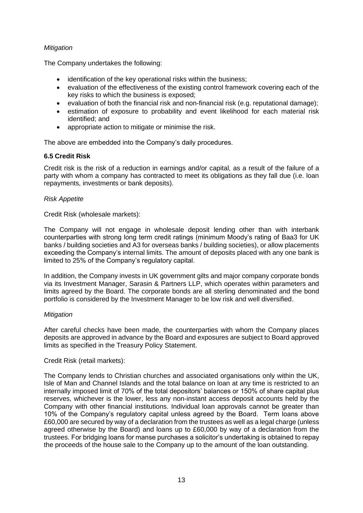# *Mitigation*

The Company undertakes the following:

- identification of the key operational risks within the business:
- evaluation of the effectiveness of the existing control framework covering each of the key risks to which the business is exposed;
- evaluation of both the financial risk and non-financial risk (e.g. reputational damage);
- estimation of exposure to probability and event likelihood for each material risk identified; and
- appropriate action to mitigate or minimise the risk.

The above are embedded into the Company's daily procedures.

# <span id="page-13-0"></span>**6.5 Credit Risk**

Credit risk is the risk of a reduction in earnings and/or capital, as a result of the failure of a party with whom a company has contracted to meet its obligations as they fall due (i.e. loan repayments, investments or bank deposits).

# *Risk Appetite*

Credit Risk (wholesale markets):

The Company will not engage in wholesale deposit lending other than with interbank counterparties with strong long term credit ratings (minimum Moody's rating of Baa3 for UK banks / building societies and A3 for overseas banks / building societies), or allow placements exceeding the Company's internal limits. The amount of deposits placed with any one bank is limited to 25% of the Company's regulatory capital.

In addition, the Company invests in UK government gilts and major company corporate bonds via its Investment Manager, Sarasin & Partners LLP, which operates within parameters and limits agreed by the Board. The corporate bonds are all sterling denominated and the bond portfolio is considered by the Investment Manager to be low risk and well diversified.

# *Mitigation*

After careful checks have been made, the counterparties with whom the Company places deposits are approved in advance by the Board and exposures are subject to Board approved limits as specified in the Treasury Policy Statement.

# Credit Risk (retail markets):

The Company lends to Christian churches and associated organisations only within the UK, Isle of Man and Channel Islands and the total balance on loan at any time is restricted to an internally imposed limit of 70% of the total depositors' balances or 150% of share capital plus reserves, whichever is the lower, less any non-instant access deposit accounts held by the Company with other financial institutions. Individual loan approvals cannot be greater than 10% of the Company's regulatory capital unless agreed by the Board. Term loans above £60,000 are secured by way of a declaration from the trustees as well as a legal charge (unless agreed otherwise by the Board) and loans up to £60,000 by way of a declaration from the trustees. For bridging loans for manse purchases a solicitor's undertaking is obtained to repay the proceeds of the house sale to the Company up to the amount of the loan outstanding.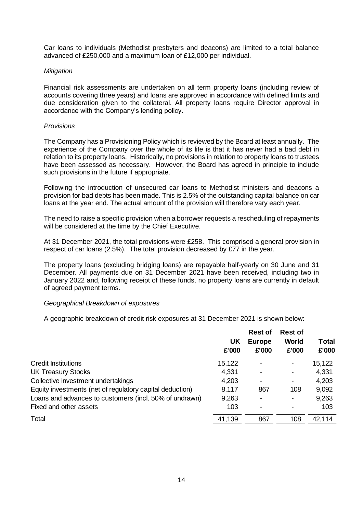Car loans to individuals (Methodist presbyters and deacons) are limited to a total balance advanced of £250,000 and a maximum loan of £12,000 per individual.

#### *Mitigation*

Financial risk assessments are undertaken on all term property loans (including review of accounts covering three years) and loans are approved in accordance with defined limits and due consideration given to the collateral. All property loans require Director approval in accordance with the Company's lending policy.

#### *Provisions*

The Company has a Provisioning Policy which is reviewed by the Board at least annually. The experience of the Company over the whole of its life is that it has never had a bad debt in relation to its property loans. Historically, no provisions in relation to property loans to trustees have been assessed as necessary. However, the Board has agreed in principle to include such provisions in the future if appropriate.

Following the introduction of unsecured car loans to Methodist ministers and deacons a provision for bad debts has been made. This is 2.5% of the outstanding capital balance on car loans at the year end. The actual amount of the provision will therefore vary each year.

The need to raise a specific provision when a borrower requests a rescheduling of repayments will be considered at the time by the Chief Executive.

At 31 December 2021, the total provisions were £258. This comprised a general provision in respect of car loans (2.5%). The total provision decreased by £77 in the year.

The property loans (excluding bridging loans) are repayable half-yearly on 30 June and 31 December. All payments due on 31 December 2021 have been received, including two in January 2022 and, following receipt of these funds, no property loans are currently in default of agreed payment terms.

# *Geographical Breakdown of exposures*

A geographic breakdown of credit risk exposures at 31 December 2021 is shown below:

|                                                          |        | <b>Rest of</b> | <b>Rest of</b> |              |
|----------------------------------------------------------|--------|----------------|----------------|--------------|
|                                                          | UK     | <b>Europe</b>  | <b>World</b>   | <b>Total</b> |
|                                                          | £'000  | £'000          | £'000          | £'000        |
| <b>Credit Institutions</b>                               | 15,122 |                |                | 15,122       |
| <b>UK Treasury Stocks</b>                                | 4,331  | $\blacksquare$ | -              | 4,331        |
| Collective investment undertakings                       | 4,203  | $\blacksquare$ | -              | 4,203        |
| Equity investments (net of regulatory capital deduction) | 8,117  | 867            | 108            | 9,092        |
| Loans and advances to customers (incl. 50% of undrawn)   | 9,263  | ٠              | ۰              | 9,263        |
| Fixed and other assets                                   | 103    | $\blacksquare$ |                | 103          |
| Total                                                    | 41,139 | 867            | 108            | 42,114       |
|                                                          |        |                |                |              |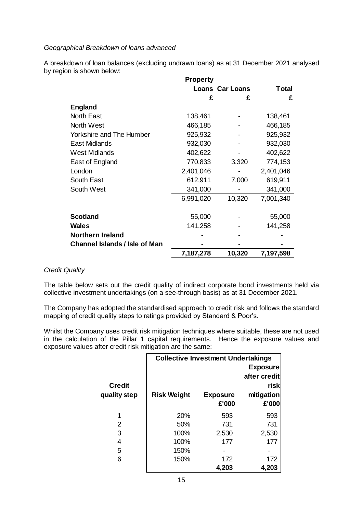#### *Geographical Breakdown of loans advanced*

A breakdown of loan balances (excluding undrawn loans) as at 31 December 2021 analysed by region is shown below:

|                                      | Property  |                        |              |
|--------------------------------------|-----------|------------------------|--------------|
|                                      |           | <b>Loans Car Loans</b> | <b>Total</b> |
|                                      | £         | £                      | £            |
| <b>England</b>                       |           |                        |              |
| <b>North East</b>                    | 138,461   |                        | 138,461      |
| <b>North West</b>                    | 466,185   |                        | 466,185      |
| <b>Yorkshire and The Humber</b>      | 925,932   |                        | 925,932      |
| East Midlands                        | 932,030   |                        | 932,030      |
| <b>West Midlands</b>                 | 402,622   |                        | 402,622      |
| East of England                      | 770,833   | 3,320                  | 774,153      |
| London                               | 2,401,046 |                        | 2,401,046    |
| South East                           | 612,911   | 7,000                  | 619,911      |
| South West                           | 341,000   |                        | 341,000      |
|                                      | 6,991,020 | 10,320                 | 7,001,340    |
| <b>Scotland</b>                      | 55,000    |                        | 55,000       |
| <b>Wales</b>                         | 141,258   |                        | 141,258      |
| <b>Northern Ireland</b>              |           |                        |              |
| <b>Channel Islands / Isle of Man</b> |           |                        |              |
|                                      | 7,187,278 | 10,320                 | 7,197,598    |

#### *Credit Quality*

The table below sets out the credit quality of indirect corporate bond investments held via collective investment undertakings (on a see-through basis) as at 31 December 2021.

The Company has adopted the standardised approach to credit risk and follows the standard mapping of credit quality steps to ratings provided by Standard & Poor's.

Whilst the Company uses credit risk mitigation techniques where suitable, these are not used in the calculation of the Pillar 1 capital requirements. Hence the exposure values and exposure values after credit risk mitigation are the same:

|               | <b>Collective Investment Undertakings</b> |                 |              |  |
|---------------|-------------------------------------------|-----------------|--------------|--|
|               | <b>Exposure</b>                           |                 |              |  |
|               |                                           |                 | after credit |  |
| <b>Credit</b> |                                           |                 | risk         |  |
| quality step  | <b>Risk Weight</b>                        | <b>Exposure</b> | mitigation   |  |
|               |                                           | £'000           | £'000        |  |
| 1             | 20%                                       | 593             | 593          |  |
| 2             | 50%                                       | 731             | 731          |  |
| 3             | 100%                                      | 2,530           | 2,530        |  |
| 4             | 100%                                      | 177             | 177          |  |
| 5             | 150%                                      |                 |              |  |
| 6             | 150%                                      | 172             | 172          |  |
|               |                                           | 4,203           | 4,203        |  |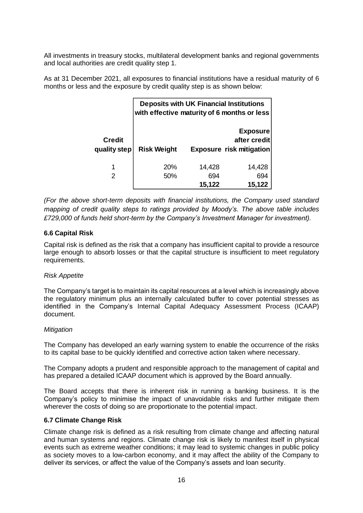All investments in treasury stocks, multilateral development banks and regional governments and local authorities are credit quality step 1.

As at 31 December 2021, all exposures to financial institutions have a residual maturity of 6 months or less and the exposure by credit quality step is as shown below:

|                               | <b>Deposits with UK Financial Institutions</b><br>with effective maturity of 6 months or less |               |                                                                    |  |
|-------------------------------|-----------------------------------------------------------------------------------------------|---------------|--------------------------------------------------------------------|--|
| <b>Credit</b><br>quality step | <b>Risk Weight</b>                                                                            |               | <b>Exposure</b><br>after credit<br><b>Exposure risk mitigation</b> |  |
|                               | <b>20%</b>                                                                                    | 14,428        | 14,428                                                             |  |
| 2                             | 50%                                                                                           | 694<br>15,122 | 694<br>15,122                                                      |  |

*(For the above short-term deposits with financial institutions, the Company used standard mapping of credit quality steps to ratings provided by Moody's. The above table includes £729,000 of funds held short-term by the Company's Investment Manager for investment).*

# <span id="page-16-0"></span>**6.6 Capital Risk**

Capital risk is defined as the risk that a company has insufficient capital to provide a resource large enough to absorb losses or that the capital structure is insufficient to meet regulatory requirements.

#### *Risk Appetite*

The Company's target is to maintain its capital resources at a level which is increasingly above the regulatory minimum plus an internally calculated buffer to cover potential stresses as identified in the Company's Internal Capital Adequacy Assessment Process (ICAAP) document.

#### *Mitigation*

The Company has developed an early warning system to enable the occurrence of the risks to its capital base to be quickly identified and corrective action taken where necessary.

The Company adopts a prudent and responsible approach to the management of capital and has prepared a detailed ICAAP document which is approved by the Board annually.

The Board accepts that there is inherent risk in running a banking business. It is the Company's policy to minimise the impact of unavoidable risks and further mitigate them wherever the costs of doing so are proportionate to the potential impact.

#### <span id="page-16-1"></span>**6.7 Climate Change Risk**

Climate change risk is defined as a risk resulting from climate change and affecting natural and human systems and regions. Climate change risk is likely to manifest itself in physical events such as extreme weather conditions; it may lead to systemic changes in public policy as society moves to a low-carbon economy, and it may affect the ability of the Company to deliver its services, or affect the value of the Company's assets and loan security.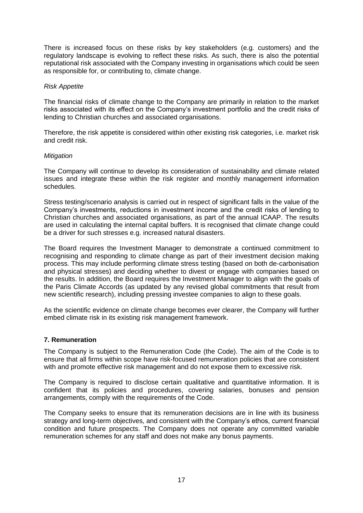There is increased focus on these risks by key stakeholders (e.g. customers) and the regulatory landscape is evolving to reflect these risks. As such, there is also the potential reputational risk associated with the Company investing in organisations which could be seen as responsible for, or contributing to, climate change.

#### *Risk Appetite*

The financial risks of climate change to the Company are primarily in relation to the market risks associated with its effect on the Company's investment portfolio and the credit risks of lending to Christian churches and associated organisations.

Therefore, the risk appetite is considered within other existing risk categories, i.e. market risk and credit risk.

#### *Mitigation*

The Company will continue to develop its consideration of sustainability and climate related issues and integrate these within the risk register and monthly management information schedules.

Stress testing/scenario analysis is carried out in respect of significant falls in the value of the Company's investments, reductions in investment income and the credit risks of lending to Christian churches and associated organisations, as part of the annual ICAAP. The results are used in calculating the internal capital buffers. It is recognised that climate change could be a driver for such stresses e.g. increased natural disasters.

The Board requires the Investment Manager to demonstrate a continued commitment to recognising and responding to climate change as part of their investment decision making process. This may include performing climate stress testing (based on both de-carbonisation and physical stresses) and deciding whether to divest or engage with companies based on the results. In addition, the Board requires the Investment Manager to align with the goals of the Paris Climate Accords (as updated by any revised global commitments that result from new scientific research), including pressing investee companies to align to these goals.

As the scientific evidence on climate change becomes ever clearer, the Company will further embed climate risk in its existing risk management framework.

# <span id="page-17-0"></span>**7. Remuneration**

The Company is subject to the Remuneration Code (the Code). The aim of the Code is to ensure that all firms within scope have risk-focused remuneration policies that are consistent with and promote effective risk management and do not expose them to excessive risk.

The Company is required to disclose certain qualitative and quantitative information. It is confident that its policies and procedures, covering salaries, bonuses and pension arrangements, comply with the requirements of the Code.

The Company seeks to ensure that its remuneration decisions are in line with its business strategy and long-term objectives, and consistent with the Company's ethos, current financial condition and future prospects. The Company does not operate any committed variable remuneration schemes for any staff and does not make any bonus payments.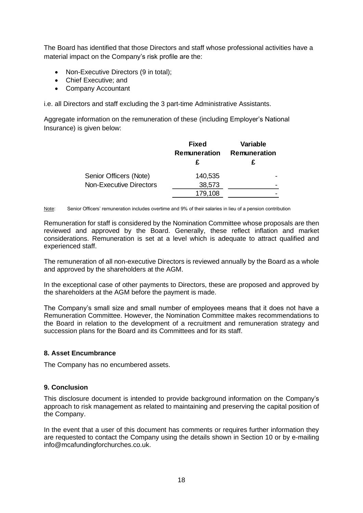The Board has identified that those Directors and staff whose professional activities have a material impact on the Company's risk profile are the:

- Non-Executive Directors (9 in total);
- Chief Executive; and
- Company Accountant

i.e. all Directors and staff excluding the 3 part-time Administrative Assistants.

Aggregate information on the remuneration of these (including Employer's National Insurance) is given below:

|                                | <b>Fixed</b> | <b>Variable</b> |
|--------------------------------|--------------|-----------------|
|                                | Remuneration | Remuneration    |
|                                |              |                 |
| Senior Officers (Note)         | 140,535      |                 |
| <b>Non-Executive Directors</b> | 38,573       |                 |
|                                | 179,108      |                 |

Note: Senior Officers' remuneration includes overtime and 9% of their salaries in lieu of a pension contribution

Remuneration for staff is considered by the Nomination Committee whose proposals are then reviewed and approved by the Board. Generally, these reflect inflation and market considerations. Remuneration is set at a level which is adequate to attract qualified and experienced staff.

The remuneration of all non-executive Directors is reviewed annually by the Board as a whole and approved by the shareholders at the AGM.

In the exceptional case of other payments to Directors, these are proposed and approved by the shareholders at the AGM before the payment is made.

The Company's small size and small number of employees means that it does not have a Remuneration Committee. However, the Nomination Committee makes recommendations to the Board in relation to the development of a recruitment and remuneration strategy and succession plans for the Board and its Committees and for its staff.

# <span id="page-18-0"></span>**8. Asset Encumbrance**

<span id="page-18-1"></span>The Company has no encumbered assets.

# **9. Conclusion**

This disclosure document is intended to provide background information on the Company's approach to risk management as related to maintaining and preserving the capital position of the Company.

In the event that a user of this document has comments or requires further information they are requested to contact the Company using the details shown in Section 10 or by e-mailing info@mcafundingforchurches.co.uk.